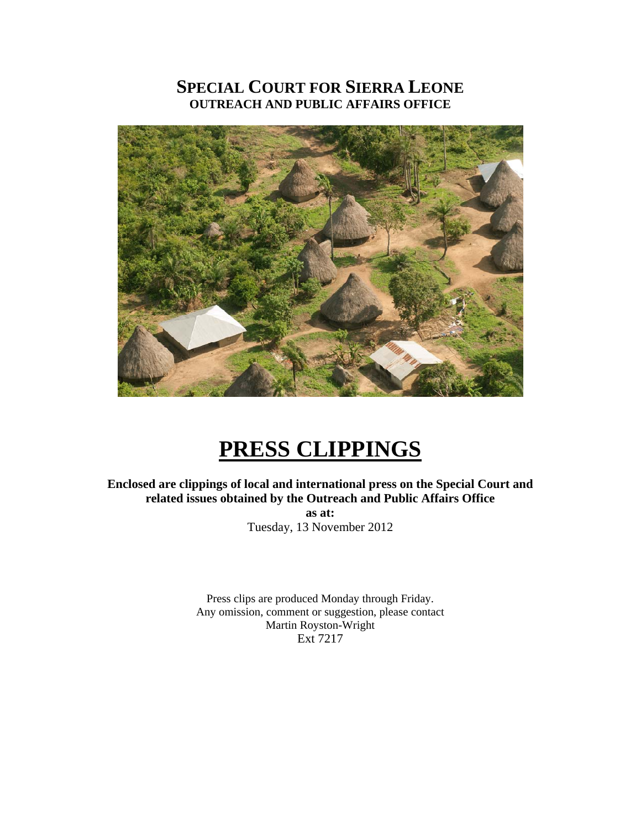# **SPECIAL COURT FOR SIERRA LEONE OUTREACH AND PUBLIC AFFAIRS OFFICE**



# **PRESS CLIPPINGS**

**Enclosed are clippings of local and international press on the Special Court and related issues obtained by the Outreach and Public Affairs Office as at:**  Tuesday, 13 November 2012

> Press clips are produced Monday through Friday. Any omission, comment or suggestion, please contact Martin Royston-Wright Ext 7217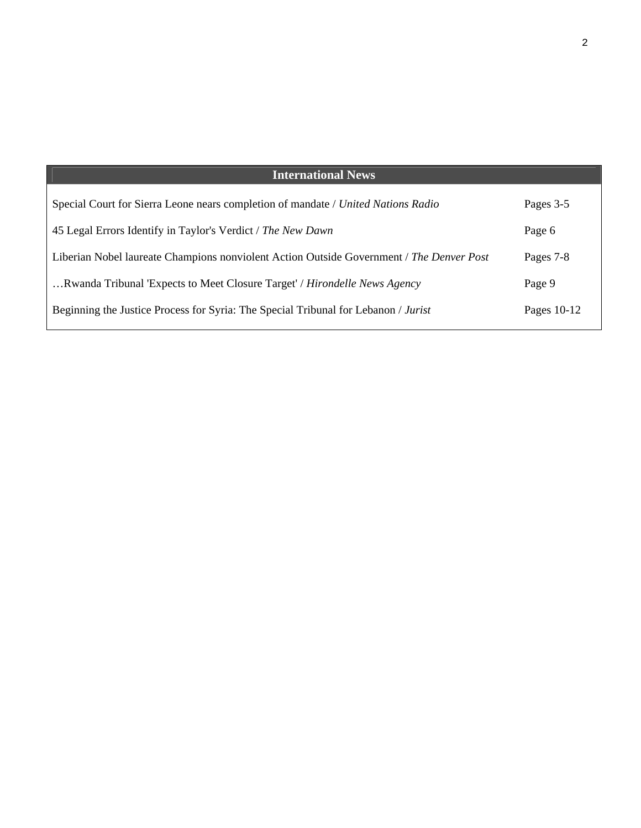| <b>International News</b>                                                                |               |
|------------------------------------------------------------------------------------------|---------------|
| Special Court for Sierra Leone nears completion of mandate / United Nations Radio        | Pages 3-5     |
| 45 Legal Errors Identify in Taylor's Verdict / The New Dawn                              | Page 6        |
| Liberian Nobel laureate Champions nonviolent Action Outside Government / The Denver Post | Pages 7-8     |
| Rwanda Tribunal 'Expects to Meet Closure Target' / Hirondelle News Agency                | Page 9        |
| Beginning the Justice Process for Syria: The Special Tribunal for Lebanon / Jurist       | Pages $10-12$ |
|                                                                                          |               |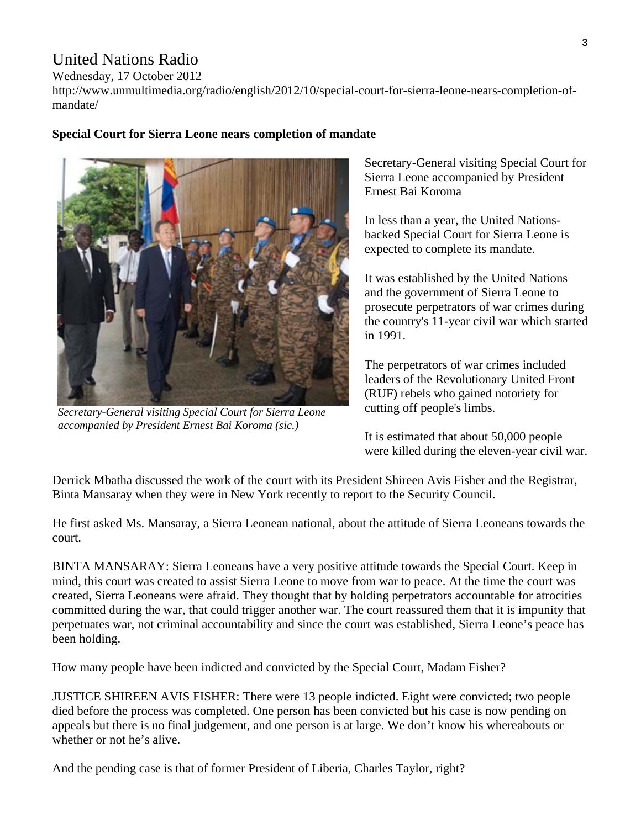## United Nations Radio

Wednesday, 17 October 2012

http://www.unmultimedia.org/radio/english/2012/10/special-court-for-sierra-leone-nears-completion-ofmandate/

**Special Court for Sierra Leone nears completion of mandate** 

*Secretary-General visiting Special Court for Sierra Leone accompanied by President Ernest Bai Koroma (sic.)* 

Secretary-General visiting Special Court for Sierra Leone accompanied by President Ernest Bai Koroma

In less than a year, the United Nationsbacked Special Court for Sierra Leone is expected to complete its mandate.

It was established by the United Nations and the government of Sierra Leone to prosecute perpetrators of war crimes during the country's 11-year civil war which started in 1991.

The perpetrators of war crimes included leaders of the Revolutionary United Front (RUF) rebels who gained notoriety for cutting off people's limbs.

It is estimated that about 50,000 people were killed during the eleven-year civil war.

Derrick Mbatha discussed the work of the court with its President Shireen Avis Fisher and the Registrar, Binta Mansaray when they were in New York recently to report to the Security Council.

He first asked Ms. Mansaray, a Sierra Leonean national, about the attitude of Sierra Leoneans towards the court.

BINTA MANSARAY: Sierra Leoneans have a very positive attitude towards the Special Court. Keep in mind, this court was created to assist Sierra Leone to move from war to peace. At the time the court was created, Sierra Leoneans were afraid. They thought that by holding perpetrators accountable for atrocities committed during the war, that could trigger another war. The court reassured them that it is impunity that perpetuates war, not criminal accountability and since the court was established, Sierra Leone's peace has been holding.

How many people have been indicted and convicted by the Special Court, Madam Fisher?

JUSTICE SHIREEN AVIS FISHER: There were 13 people indicted. Eight were convicted; two people died before the process was completed. One person has been convicted but his case is now pending on appeals but there is no final judgement, and one person is at large. We don't know his whereabouts or whether or not he's alive.

And the pending case is that of former President of Liberia, Charles Taylor, right?

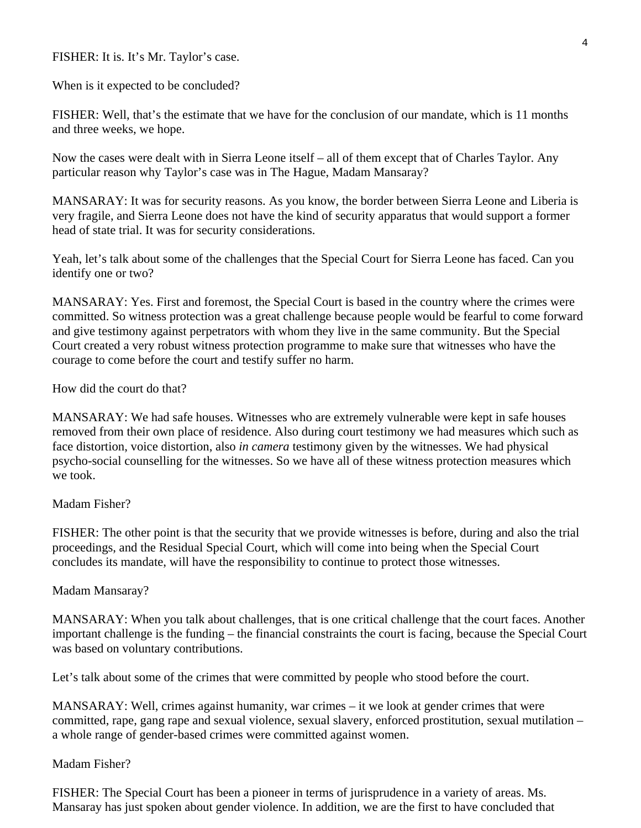#### FISHER: It is. It's Mr. Taylor's case.

When is it expected to be concluded?

FISHER: Well, that's the estimate that we have for the conclusion of our mandate, which is 11 months and three weeks, we hope.

Now the cases were dealt with in Sierra Leone itself – all of them except that of Charles Taylor. Any particular reason why Taylor's case was in The Hague, Madam Mansaray?

MANSARAY: It was for security reasons. As you know, the border between Sierra Leone and Liberia is very fragile, and Sierra Leone does not have the kind of security apparatus that would support a former head of state trial. It was for security considerations.

Yeah, let's talk about some of the challenges that the Special Court for Sierra Leone has faced. Can you identify one or two?

MANSARAY: Yes. First and foremost, the Special Court is based in the country where the crimes were committed. So witness protection was a great challenge because people would be fearful to come forward and give testimony against perpetrators with whom they live in the same community. But the Special Court created a very robust witness protection programme to make sure that witnesses who have the courage to come before the court and testify suffer no harm.

How did the court do that?

MANSARAY: We had safe houses. Witnesses who are extremely vulnerable were kept in safe houses removed from their own place of residence. Also during court testimony we had measures which such as face distortion, voice distortion, also *in camera* testimony given by the witnesses. We had physical psycho-social counselling for the witnesses. So we have all of these witness protection measures which we took.

#### Madam Fisher?

FISHER: The other point is that the security that we provide witnesses is before, during and also the trial proceedings, and the Residual Special Court, which will come into being when the Special Court concludes its mandate, will have the responsibility to continue to protect those witnesses.

#### Madam Mansaray?

MANSARAY: When you talk about challenges, that is one critical challenge that the court faces. Another important challenge is the funding – the financial constraints the court is facing, because the Special Court was based on voluntary contributions.

Let's talk about some of the crimes that were committed by people who stood before the court.

MANSARAY: Well, crimes against humanity, war crimes – it we look at gender crimes that were committed, rape, gang rape and sexual violence, sexual slavery, enforced prostitution, sexual mutilation – a whole range of gender-based crimes were committed against women.

#### Madam Fisher?

FISHER: The Special Court has been a pioneer in terms of jurisprudence in a variety of areas. Ms. Mansaray has just spoken about gender violence. In addition, we are the first to have concluded that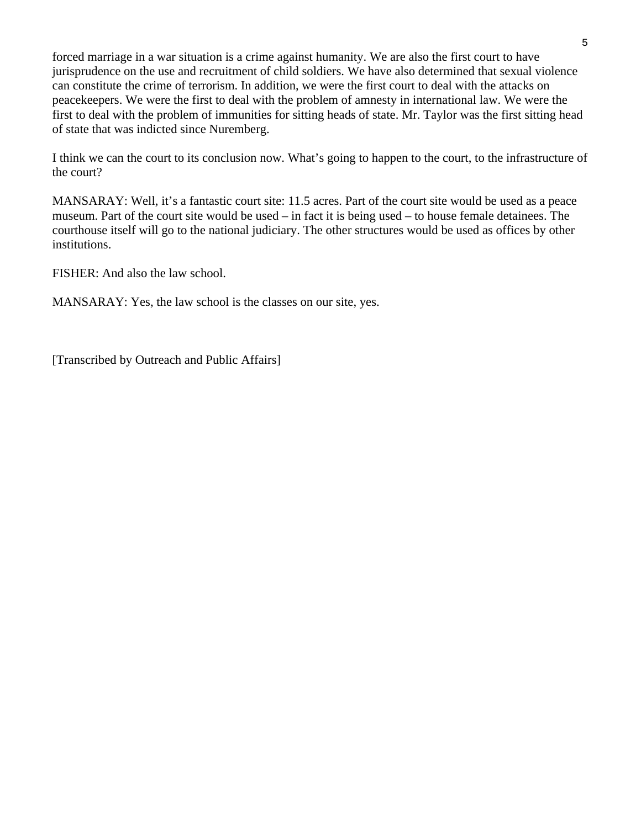forced marriage in a war situation is a crime against humanity. We are also the first court to have jurisprudence on the use and recruitment of child soldiers. We have also determined that sexual violence can constitute the crime of terrorism. In addition, we were the first court to deal with the attacks on peacekeepers. We were the first to deal with the problem of amnesty in international law. We were the first to deal with the problem of immunities for sitting heads of state. Mr. Taylor was the first sitting head of state that was indicted since Nuremberg.

I think we can the court to its conclusion now. What's going to happen to the court, to the infrastructure of the court?

MANSARAY: Well, it's a fantastic court site: 11.5 acres. Part of the court site would be used as a peace museum. Part of the court site would be used – in fact it is being used – to house female detainees. The courthouse itself will go to the national judiciary. The other structures would be used as offices by other institutions.

FISHER: And also the law school.

MANSARAY: Yes, the law school is the classes on our site, yes.

[Transcribed by Outreach and Public Affairs]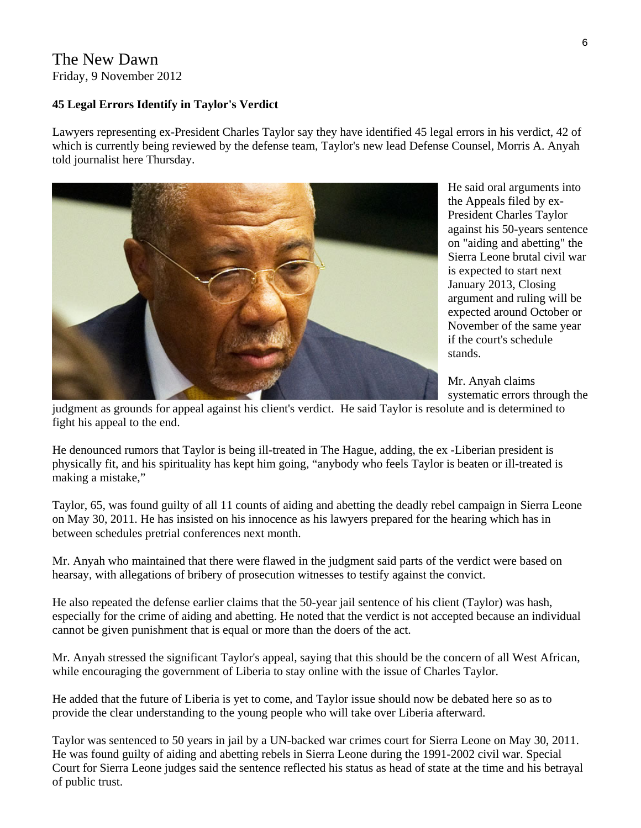### The New Dawn Friday, 9 November 2012

#### **45 Legal Errors Identify in Taylor's Verdict**

Lawyers representing ex-President Charles Taylor say they have identified 45 legal errors in his verdict, 42 of which is currently being reviewed by the defense team, Taylor's new lead Defense Counsel, Morris A. Anyah told journalist here Thursday.



He said oral arguments into the Appeals filed by ex-President Charles Taylor against his 50-years s entence on "aiding and abetting" t he Sierra Leone brutal civil wa r is expected to start next January 2013, Closing argument and ruling will be expected around October or November of the same year if the court's schedule stands.

Mr. Anyah claims systematic errors through the

judgment as grounds for appeal against his client's verdict. He said Taylor is resolute and is determined to fight his appeal to the end.

He denounced rumors that Taylor is being ill-treated in The Hague, adding, the ex -Liberian president is physically fit, and his spirituality has kept him going, "anybody who feels Taylor is beaten or ill-treated is making a mistake,"

Taylor, 65, was found guilty of all 11 counts of aiding and abetting the deadly rebel campaign in Sierra Leone on May 30, 2011. He has insisted on his innocence as his lawyers prepared for the hearing which has in between schedules pretrial conferences next month.

Mr. Anyah who maintained that there were flawed in the judgment said parts of the verdict were based on hearsay, with allegations of bribery of prosecution witnesses to testify against the convict.

He also repeated the defense earlier claims that the 50-year jail sentence of his client (Taylor) was hash, especially for the crime of aiding and abetting. He noted that the verdict is not accepted because an individual cannot be given punishment that is equal or more than the doers of the act.

Mr. Anyah stressed the significant Taylor's appeal, saying that this should be the concern of all West African, while encouraging the government of Liberia to stay online with the issue of Charles Taylor.

He added that the future of Liberia is yet to come, and Taylor issue should now be debated here so as to provide the clear understanding to the young people who will take over Liberia afterward.

Taylor was sentenced to 50 years in jail by a UN-backed war crimes court for Sierra Leone on May 30, 2011. He was found guilty of aiding and abetting rebels in Sierra Leone during the 1991-2002 civil war. Special Court for Sierra Leone judges said the sentence reflected his status as head of state at the time and his betrayal of public trust.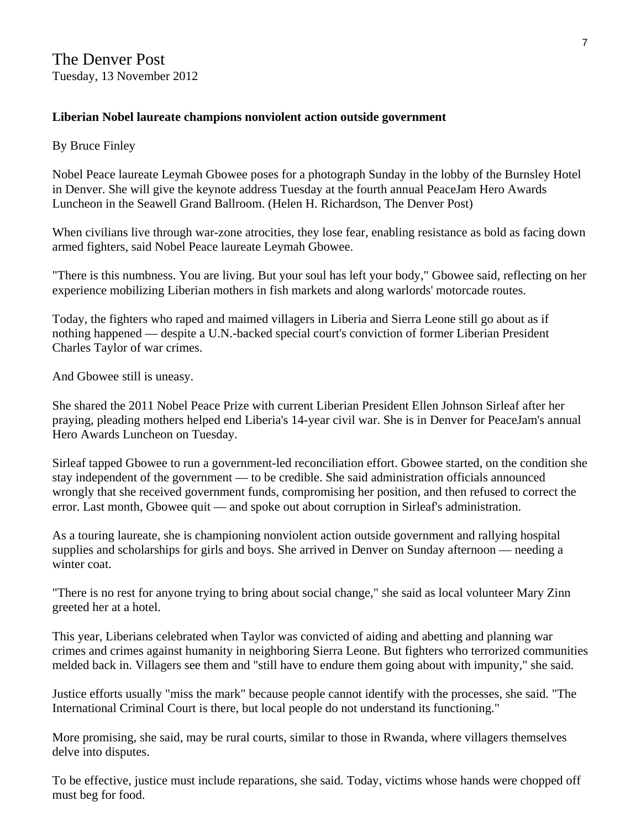#### **Liberian Nobel laureate champions nonviolent action outside government**

#### By Bruce Finley

Nobel Peace laureate Leymah Gbowee poses for a photograph Sunday in the lobby of the Burnsley Hotel in Denver. She will give the keynote address Tuesday at the fourth annual PeaceJam Hero Awards Luncheon in the Seawell Grand Ballroom. (Helen H. Richardson, The Denver Post)

When civilians live through war-zone atrocities, they lose fear, enabling resistance as bold as facing down armed fighters, said Nobel Peace laureate Leymah Gbowee.

"There is this numbness. You are living. But your soul has left your body," Gbowee said, reflecting on her experience mobilizing Liberian mothers in fish markets and along warlords' motorcade routes.

Today, the fighters who raped and maimed villagers in Liberia and Sierra Leone still go about as if nothing happened — despite a U.N.-backed special court's conviction of former Liberian President Charles Taylor of war crimes.

And Gbowee still is uneasy.

She shared the 2011 Nobel Peace Prize with current Liberian President Ellen Johnson Sirleaf after her praying, pleading mothers helped end Liberia's 14-year civil war. She is in Denver for PeaceJam's annual Hero Awards Luncheon on Tuesday.

Sirleaf tapped Gbowee to run a government-led reconciliation effort. Gbowee started, on the condition she stay independent of the government — to be credible. She said administration officials announced wrongly that she received government funds, compromising her position, and then refused to correct the error. Last month, Gbowee quit — and spoke out about corruption in Sirleaf's administration.

As a touring laureate, she is championing nonviolent action outside government and rallying hospital supplies and scholarships for girls and boys. She arrived in Denver on Sunday afternoon — needing a winter coat.

"There is no rest for anyone trying to bring about social change," she said as local volunteer Mary Zinn greeted her at a hotel.

This year, Liberians celebrated when Taylor was convicted of aiding and abetting and planning war crimes and crimes against humanity in neighboring Sierra Leone. But fighters who terrorized communities melded back in. Villagers see them and "still have to endure them going about with impunity," she said.

Justice efforts usually "miss the mark" because people cannot identify with the processes, she said. "The International Criminal Court is there, but local people do not understand its functioning."

More promising, she said, may be rural courts, similar to those in Rwanda, where villagers themselves delve into disputes.

To be effective, justice must include reparations, she said. Today, victims whose hands were chopped off must beg for food.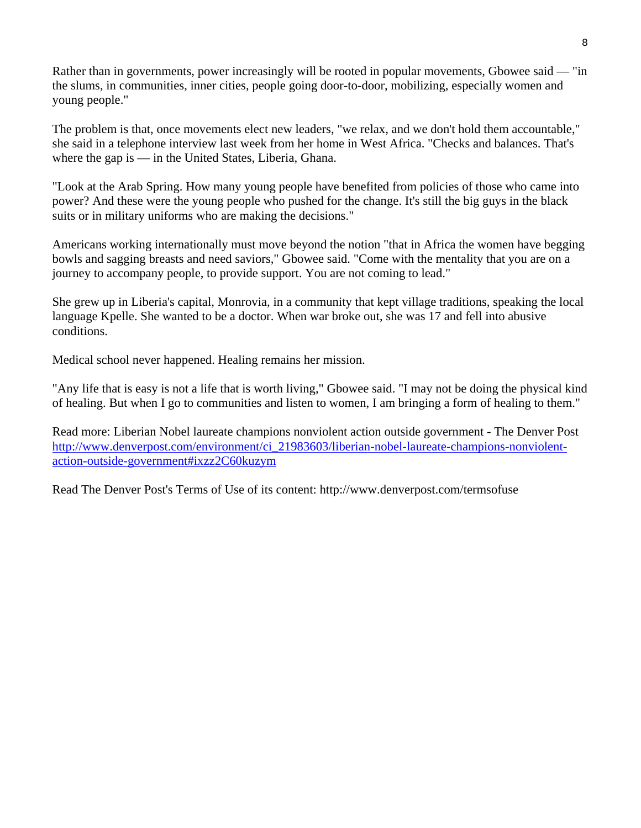Rather than in governments, power increasingly will be rooted in popular movements, Gbowee said — "in the slums, in communities, inner cities, people going door-to-door, mobilizing, especially women and young people."

The problem is that, once movements elect new leaders, "we relax, and we don't hold them accountable," she said in a telephone interview last week from her home in West Africa. "Checks and balances. That's where the gap is — in the United States, Liberia, Ghana.

"Look at the Arab Spring. How many young people have benefited from policies of those who came into power? And these were the young people who pushed for the change. It's still the big guys in the black suits or in military uniforms who are making the decisions."

Americans working internationally must move beyond the notion "that in Africa the women have begging bowls and sagging breasts and need saviors," Gbowee said. "Come with the mentality that you are on a journey to accompany people, to provide support. You are not coming to lead."

She grew up in Liberia's capital, Monrovia, in a community that kept village traditions, speaking the local language Kpelle. She wanted to be a doctor. When war broke out, she was 17 and fell into abusive conditions.

Medical school never happened. Healing remains her mission.

"Any life that is easy is not a life that is worth living," Gbowee said. "I may not be doing the physical kind of healing. But when I go to communities and listen to women, I am bringing a form of healing to them."

Read more: Liberian Nobel laureate champions nonviolent action outside government - The Denver Post [http://www.denverpost.com/environment/ci\\_21983603/liberian-nobel-laureate-champions-nonviolent](http://www.denverpost.com/environment/ci_21983603/liberian-nobel-laureate-champions-nonviolent-action-outside-government#ixzz2C60kuzym)[action-outside-government#ixzz2C60kuzym](http://www.denverpost.com/environment/ci_21983603/liberian-nobel-laureate-champions-nonviolent-action-outside-government#ixzz2C60kuzym)

Read The Denver Post's Terms of Use of its content: http://www.denverpost.com/termsofuse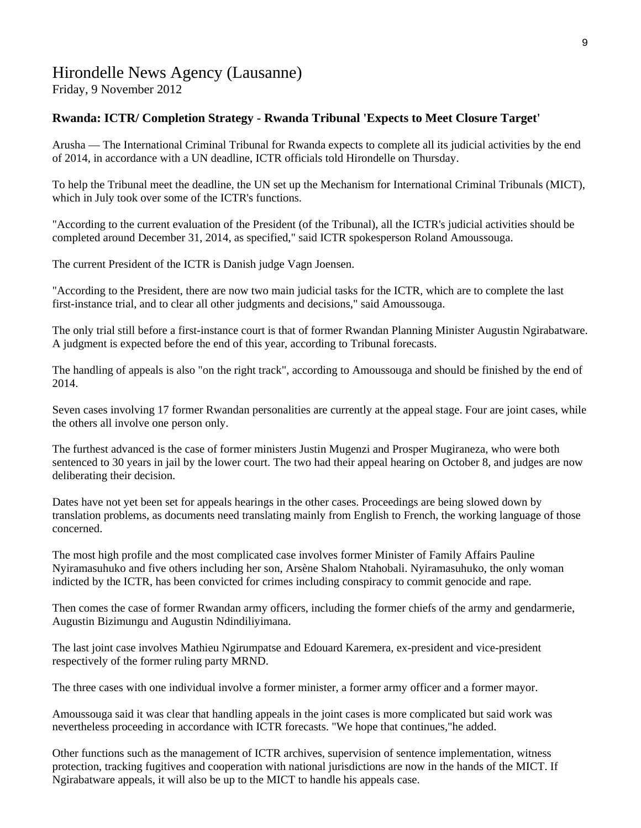# Hirondelle News Agency (Lausanne)

Friday, 9 November 2012

#### **Rwanda: ICTR/ Completion Strategy - Rwanda Tribunal 'Expects to Meet Closure Target'**

Arusha — The International Criminal Tribunal for Rwanda expects to complete all its judicial activities by the end of 2014, in accordance with a UN deadline, ICTR officials told Hirondelle on Thursday.

To help the Tribunal meet the deadline, the UN set up the Mechanism for International Criminal Tribunals (MICT), which in July took over some of the ICTR's functions.

"According to the current evaluation of the President (of the Tribunal), all the ICTR's judicial activities should be completed around December 31, 2014, as specified," said ICTR spokesperson Roland Amoussouga.

The current President of the ICTR is Danish judge Vagn Joensen.

"According to the President, there are now two main judicial tasks for the ICTR, which are to complete the last first-instance trial, and to clear all other judgments and decisions," said Amoussouga.

The only trial still before a first-instance court is that of former Rwandan Planning Minister Augustin Ngirabatware. A judgment is expected before the end of this year, according to Tribunal forecasts.

The handling of appeals is also "on the right track", according to Amoussouga and should be finished by the end of 2014.

Seven cases involving 17 former Rwandan personalities are currently at the appeal stage. Four are joint cases, while the others all involve one person only.

The furthest advanced is the case of former ministers Justin Mugenzi and Prosper Mugiraneza, who were both sentenced to 30 years in jail by the lower court. The two had their appeal hearing on October 8, and judges are now deliberating their decision.

Dates have not yet been set for appeals hearings in the other cases. Proceedings are being slowed down by translation problems, as documents need translating mainly from English to French, the working language of those concerned.

The most high profile and the most complicated case involves former Minister of Family Affairs Pauline Nyiramasuhuko and five others including her son, Arsène Shalom Ntahobali. Nyiramasuhuko, the only woman indicted by the ICTR, has been convicted for crimes including conspiracy to commit genocide and rape.

Then comes the case of former Rwandan army officers, including the former chiefs of the army and gendarmerie, Augustin Bizimungu and Augustin Ndindiliyimana.

The last joint case involves Mathieu Ngirumpatse and Edouard Karemera, ex-president and vice-president respectively of the former ruling party MRND.

The three cases with one individual involve a former minister, a former army officer and a former mayor.

Amoussouga said it was clear that handling appeals in the joint cases is more complicated but said work was nevertheless proceeding in accordance with ICTR forecasts. "We hope that continues,"he added.

Other functions such as the management of ICTR archives, supervision of sentence implementation, witness protection, tracking fugitives and cooperation with national jurisdictions are now in the hands of the MICT. If Ngirabatware appeals, it will also be up to the MICT to handle his appeals case.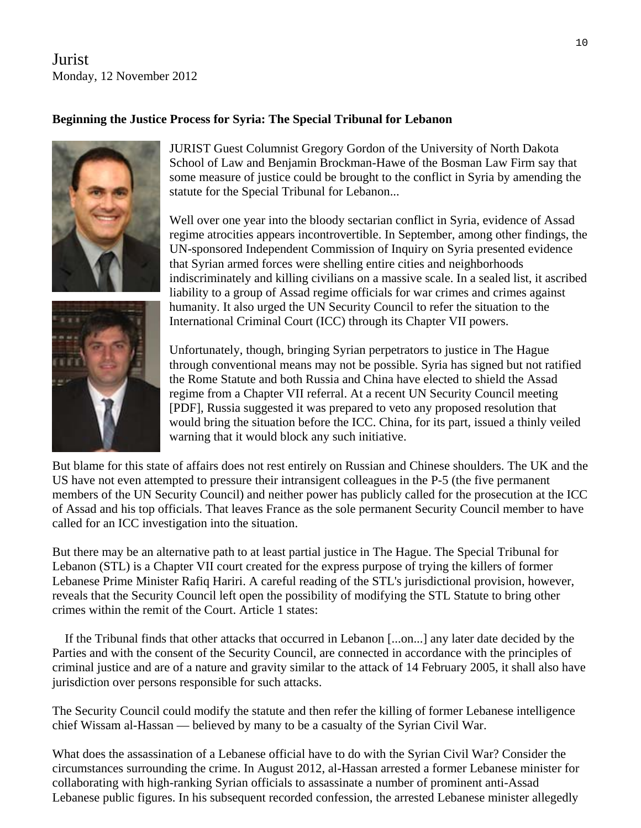Jurist Monday, 12 November 2012

#### **Beginning the Justice Process for Syria: The Special Tribunal for Lebanon**



JURIST Guest Columnist Gregory Gordon of the University of North Dakota School of Law and Benjamin Brockman-Hawe of the Bosman Law Firm say that some measure of justice could be brought to the conflict in Syria by amending the statute for the Special Tribunal for Lebanon...

Well over one year into the bloody sectarian conflict in Syria, evidence of Assad regime atrocities appears incontrovertible. In September, among other findings, the UN-sponsored Independent Commission of Inquiry on Syria presented evidence that Syrian armed forces were shelling entire cities and neighborhoods indiscriminately and killing civilians on a massive scale. In a sealed list, it ascribed liability to a group of Assad regime officials for war crimes and crimes against humanity. It also urged the UN Security Council to refer the situation to the International Criminal Court (ICC) through its Chapter VII powers.



Unfortunately, though, bringing Syrian perpetrators to justice in The Hague through conventional means may not be possible. Syria has signed but not ratified the Rome Statute and both Russia and China have elected to shield the Assad regime from a Chapter VII referral. At a recent UN Security Council meeting [PDF], Russia suggested it was prepared to veto any proposed resolution that would bring the situation before the ICC. China, for its part, issued a thinly veiled warning that it would block any such initiative.

But blame for this state of affairs does not rest entirely on Russian and Chinese shoulders. The UK and the US have not even attempted to pressure their intransigent colleagues in the P-5 (the five permanent members of the UN Security Council) and neither power has publicly called for the prosecution at the ICC of Assad and his top officials. That leaves France as the sole permanent Security Council member to have called for an ICC investigation into the situation.

But there may be an alternative path to at least partial justice in The Hague. The Special Tribunal for Lebanon (STL) is a Chapter VII court created for the express purpose of trying the killers of former Lebanese Prime Minister Rafiq Hariri. A careful reading of the STL's jurisdictional provision, however, reveals that the Security Council left open the possibility of modifying the STL Statute to bring other crimes within the remit of the Court. Article 1 states:

 If the Tribunal finds that other attacks that occurred in Lebanon [...on...] any later date decided by the Parties and with the consent of the Security Council, are connected in accordance with the principles of criminal justice and are of a nature and gravity similar to the attack of 14 February 2005, it shall also have jurisdiction over persons responsible for such attacks.

The Security Council could modify the statute and then refer the killing of former Lebanese intelligence chief Wissam al-Hassan — believed by many to be a casualty of the Syrian Civil War.

What does the assassination of a Lebanese official have to do with the Syrian Civil War? Consider the circumstances surrounding the crime. In August 2012, al-Hassan arrested a former Lebanese minister for collaborating with high-ranking Syrian officials to assassinate a number of prominent anti-Assad Lebanese public figures. In his subsequent recorded confession, the arrested Lebanese minister allegedly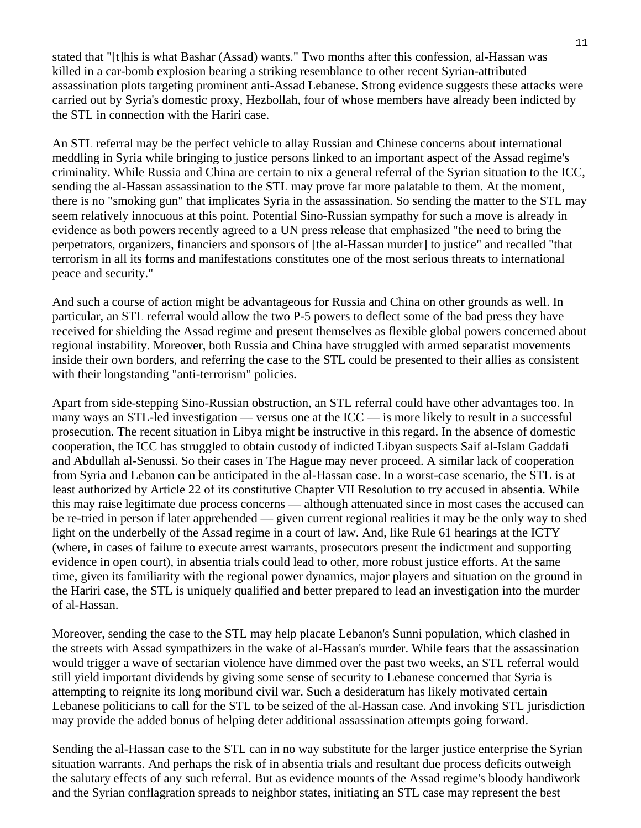stated that "[t]his is what Bashar (Assad) wants." Two months after this confession, al-Hassan was killed in a car-bomb explosion bearing a striking resemblance to other recent Syrian-attributed assassination plots targeting prominent anti-Assad Lebanese. Strong evidence suggests these attacks were carried out by Syria's domestic proxy, Hezbollah, four of whose members have already been indicted by the STL in connection with the Hariri case.

An STL referral may be the perfect vehicle to allay Russian and Chinese concerns about international meddling in Syria while bringing to justice persons linked to an important aspect of the Assad regime's criminality. While Russia and China are certain to nix a general referral of the Syrian situation to the ICC, sending the al-Hassan assassination to the STL may prove far more palatable to them. At the moment, there is no "smoking gun" that implicates Syria in the assassination. So sending the matter to the STL may seem relatively innocuous at this point. Potential Sino-Russian sympathy for such a move is already in evidence as both powers recently agreed to a UN press release that emphasized "the need to bring the perpetrators, organizers, financiers and sponsors of [the al-Hassan murder] to justice" and recalled "that terrorism in all its forms and manifestations constitutes one of the most serious threats to international peace and security."

And such a course of action might be advantageous for Russia and China on other grounds as well. In particular, an STL referral would allow the two P-5 powers to deflect some of the bad press they have received for shielding the Assad regime and present themselves as flexible global powers concerned about regional instability. Moreover, both Russia and China have struggled with armed separatist movements inside their own borders, and referring the case to the STL could be presented to their allies as consistent with their longstanding "anti-terrorism" policies.

Apart from side-stepping Sino-Russian obstruction, an STL referral could have other advantages too. In many ways an STL-led investigation — versus one at the ICC — is more likely to result in a successful prosecution. The recent situation in Libya might be instructive in this regard. In the absence of domestic cooperation, the ICC has struggled to obtain custody of indicted Libyan suspects Saif al-Islam Gaddafi and Abdullah al-Senussi. So their cases in The Hague may never proceed. A similar lack of cooperation from Syria and Lebanon can be anticipated in the al-Hassan case. In a worst-case scenario, the STL is at least authorized by Article 22 of its constitutive Chapter VII Resolution to try accused in absentia. While this may raise legitimate due process concerns — although attenuated since in most cases the accused can be re-tried in person if later apprehended — given current regional realities it may be the only way to shed light on the underbelly of the Assad regime in a court of law. And, like Rule 61 hearings at the ICTY (where, in cases of failure to execute arrest warrants, prosecutors present the indictment and supporting evidence in open court), in absentia trials could lead to other, more robust justice efforts. At the same time, given its familiarity with the regional power dynamics, major players and situation on the ground in the Hariri case, the STL is uniquely qualified and better prepared to lead an investigation into the murder of al-Hassan.

Moreover, sending the case to the STL may help placate Lebanon's Sunni population, which clashed in the streets with Assad sympathizers in the wake of al-Hassan's murder. While fears that the assassination would trigger a wave of sectarian violence have dimmed over the past two weeks, an STL referral would still yield important dividends by giving some sense of security to Lebanese concerned that Syria is attempting to reignite its long moribund civil war. Such a desideratum has likely motivated certain Lebanese politicians to call for the STL to be seized of the al-Hassan case. And invoking STL jurisdiction may provide the added bonus of helping deter additional assassination attempts going forward.

Sending the al-Hassan case to the STL can in no way substitute for the larger justice enterprise the Syrian situation warrants. And perhaps the risk of in absentia trials and resultant due process deficits outweigh the salutary effects of any such referral. But as evidence mounts of the Assad regime's bloody handiwork and the Syrian conflagration spreads to neighbor states, initiating an STL case may represent the best